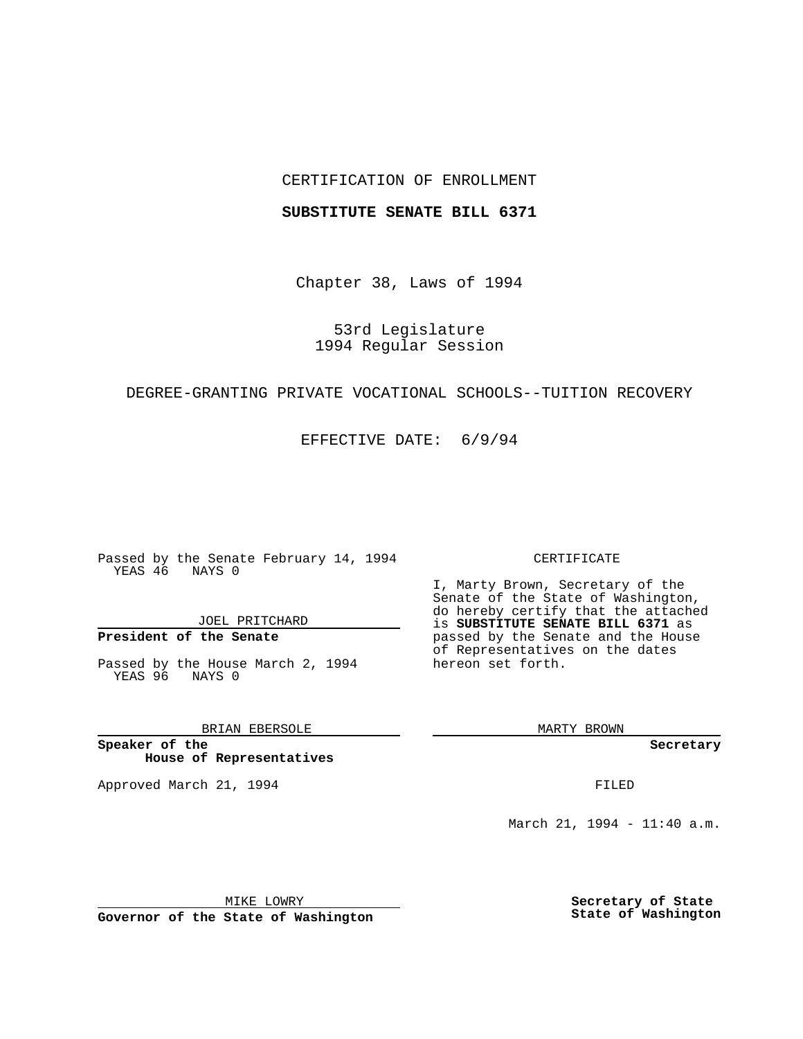# CERTIFICATION OF ENROLLMENT

### **SUBSTITUTE SENATE BILL 6371**

Chapter 38, Laws of 1994

53rd Legislature 1994 Regular Session

# DEGREE-GRANTING PRIVATE VOCATIONAL SCHOOLS--TUITION RECOVERY

EFFECTIVE DATE: 6/9/94

Passed by the Senate February 14, 1994 YEAS 46 NAYS 0

JOEL PRITCHARD

# **President of the Senate**

Passed by the House March 2, 1994 YEAS 96 NAYS 0

# BRIAN EBERSOLE

**Speaker of the House of Representatives**

Approved March 21, 1994 **FILED** 

#### CERTIFICATE

I, Marty Brown, Secretary of the Senate of the State of Washington, do hereby certify that the attached is **SUBSTITUTE SENATE BILL 6371** as passed by the Senate and the House of Representatives on the dates hereon set forth.

MARTY BROWN

**Secretary**

March 21, 1994 - 11:40 a.m.

MIKE LOWRY **Governor of the State of Washington** **Secretary of State State of Washington**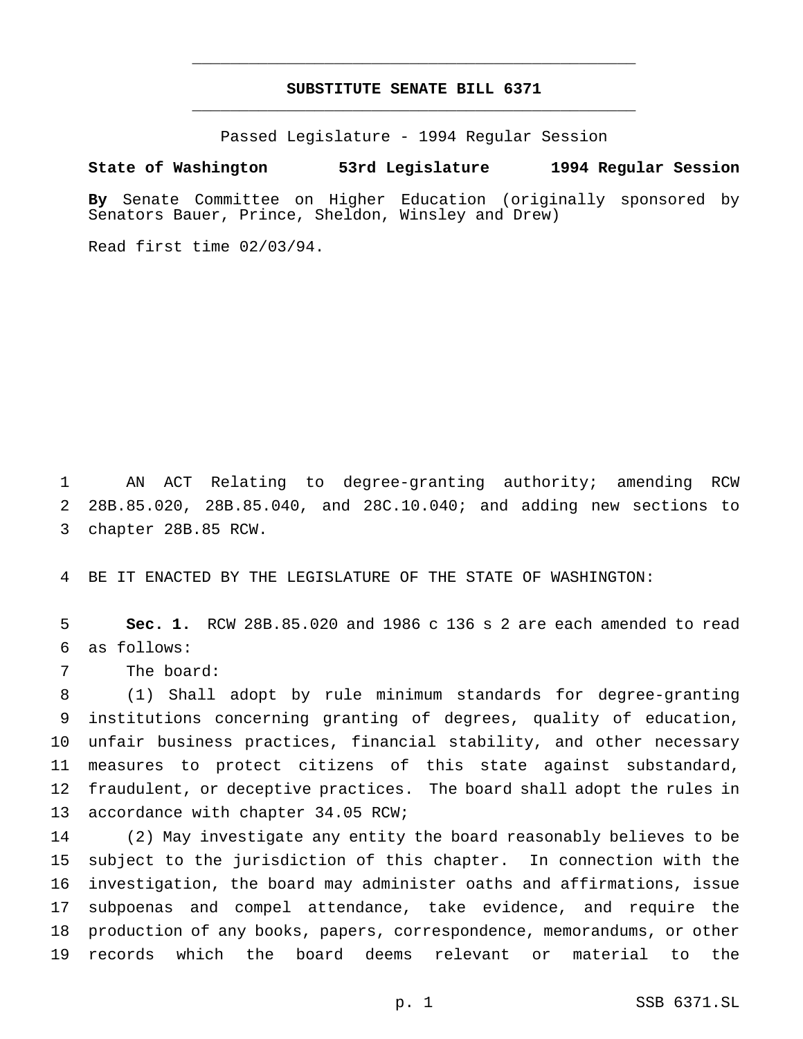# **SUBSTITUTE SENATE BILL 6371** \_\_\_\_\_\_\_\_\_\_\_\_\_\_\_\_\_\_\_\_\_\_\_\_\_\_\_\_\_\_\_\_\_\_\_\_\_\_\_\_\_\_\_\_\_\_\_

\_\_\_\_\_\_\_\_\_\_\_\_\_\_\_\_\_\_\_\_\_\_\_\_\_\_\_\_\_\_\_\_\_\_\_\_\_\_\_\_\_\_\_\_\_\_\_

Passed Legislature - 1994 Regular Session

## **State of Washington 53rd Legislature 1994 Regular Session**

**By** Senate Committee on Higher Education (originally sponsored by Senators Bauer, Prince, Sheldon, Winsley and Drew)

Read first time 02/03/94.

 AN ACT Relating to degree-granting authority; amending RCW 28B.85.020, 28B.85.040, and 28C.10.040; and adding new sections to chapter 28B.85 RCW.

BE IT ENACTED BY THE LEGISLATURE OF THE STATE OF WASHINGTON:

 **Sec. 1.** RCW 28B.85.020 and 1986 c 136 s 2 are each amended to read as follows:

The board:

 (1) Shall adopt by rule minimum standards for degree-granting institutions concerning granting of degrees, quality of education, unfair business practices, financial stability, and other necessary measures to protect citizens of this state against substandard, fraudulent, or deceptive practices. The board shall adopt the rules in 13 accordance with chapter 34.05 RCW;

 (2) May investigate any entity the board reasonably believes to be subject to the jurisdiction of this chapter. In connection with the investigation, the board may administer oaths and affirmations, issue subpoenas and compel attendance, take evidence, and require the production of any books, papers, correspondence, memorandums, or other records which the board deems relevant or material to the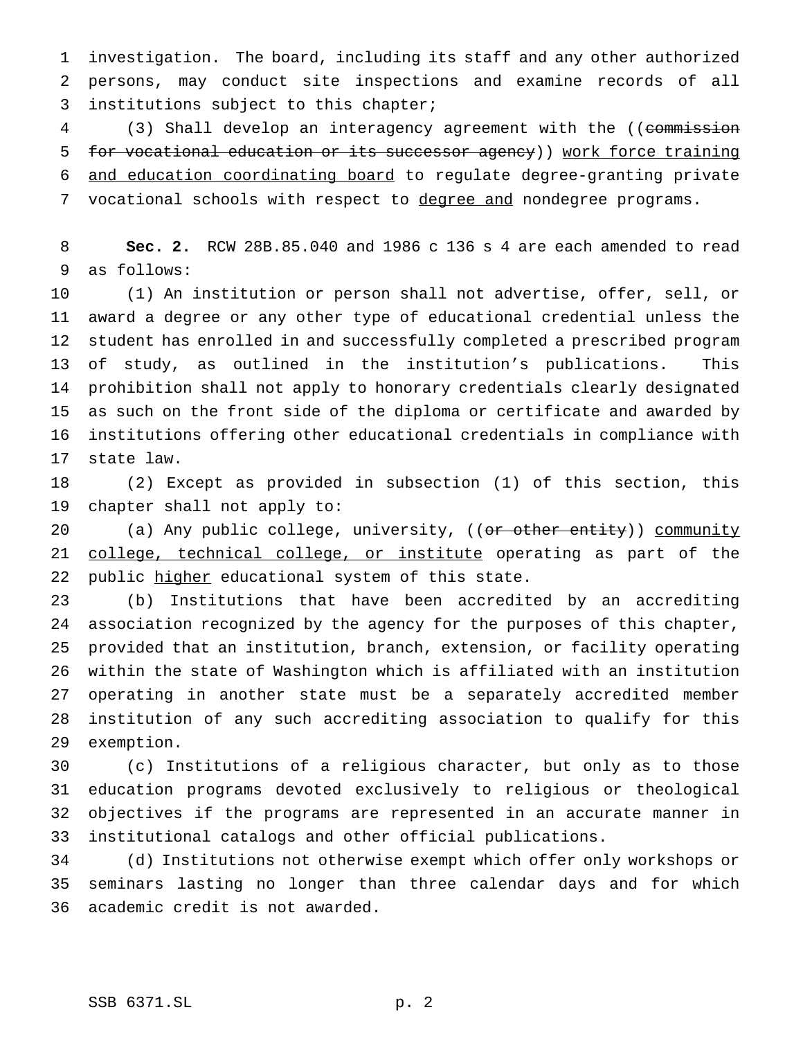investigation. The board, including its staff and any other authorized persons, may conduct site inspections and examine records of all institutions subject to this chapter;

4 (3) Shall develop an interagency agreement with the ((commission for vocational education or its successor agency)) work force training and education coordinating board to regulate degree-granting private 7 vocational schools with respect to degree and nondegree programs.

 **Sec. 2.** RCW 28B.85.040 and 1986 c 136 s 4 are each amended to read as follows:

 (1) An institution or person shall not advertise, offer, sell, or award a degree or any other type of educational credential unless the student has enrolled in and successfully completed a prescribed program of study, as outlined in the institution's publications. This prohibition shall not apply to honorary credentials clearly designated as such on the front side of the diploma or certificate and awarded by institutions offering other educational credentials in compliance with state law.

 (2) Except as provided in subsection (1) of this section, this chapter shall not apply to:

20 (a) Any public college, university, ((or other entity)) community 21 college, technical college, or institute operating as part of the 22 public higher educational system of this state.

 (b) Institutions that have been accredited by an accrediting association recognized by the agency for the purposes of this chapter, provided that an institution, branch, extension, or facility operating within the state of Washington which is affiliated with an institution operating in another state must be a separately accredited member institution of any such accrediting association to qualify for this exemption.

 (c) Institutions of a religious character, but only as to those education programs devoted exclusively to religious or theological objectives if the programs are represented in an accurate manner in institutional catalogs and other official publications.

 (d) Institutions not otherwise exempt which offer only workshops or seminars lasting no longer than three calendar days and for which academic credit is not awarded.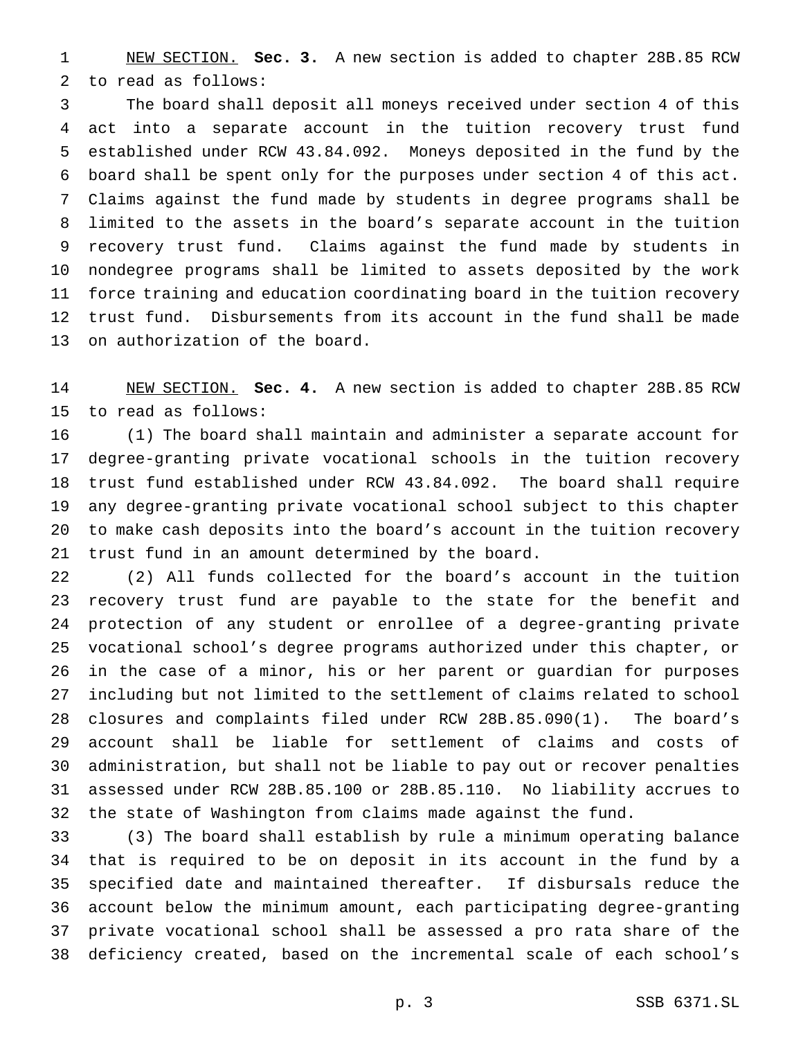NEW SECTION. **Sec. 3.** A new section is added to chapter 28B.85 RCW to read as follows:

 The board shall deposit all moneys received under section 4 of this act into a separate account in the tuition recovery trust fund established under RCW 43.84.092. Moneys deposited in the fund by the board shall be spent only for the purposes under section 4 of this act. Claims against the fund made by students in degree programs shall be limited to the assets in the board's separate account in the tuition recovery trust fund. Claims against the fund made by students in nondegree programs shall be limited to assets deposited by the work force training and education coordinating board in the tuition recovery trust fund. Disbursements from its account in the fund shall be made on authorization of the board.

 NEW SECTION. **Sec. 4.** A new section is added to chapter 28B.85 RCW to read as follows:

 (1) The board shall maintain and administer a separate account for degree-granting private vocational schools in the tuition recovery trust fund established under RCW 43.84.092. The board shall require any degree-granting private vocational school subject to this chapter to make cash deposits into the board's account in the tuition recovery trust fund in an amount determined by the board.

 (2) All funds collected for the board's account in the tuition recovery trust fund are payable to the state for the benefit and protection of any student or enrollee of a degree-granting private vocational school's degree programs authorized under this chapter, or in the case of a minor, his or her parent or guardian for purposes including but not limited to the settlement of claims related to school closures and complaints filed under RCW 28B.85.090(1). The board's account shall be liable for settlement of claims and costs of administration, but shall not be liable to pay out or recover penalties assessed under RCW 28B.85.100 or 28B.85.110. No liability accrues to the state of Washington from claims made against the fund.

 (3) The board shall establish by rule a minimum operating balance that is required to be on deposit in its account in the fund by a specified date and maintained thereafter. If disbursals reduce the account below the minimum amount, each participating degree-granting private vocational school shall be assessed a pro rata share of the deficiency created, based on the incremental scale of each school's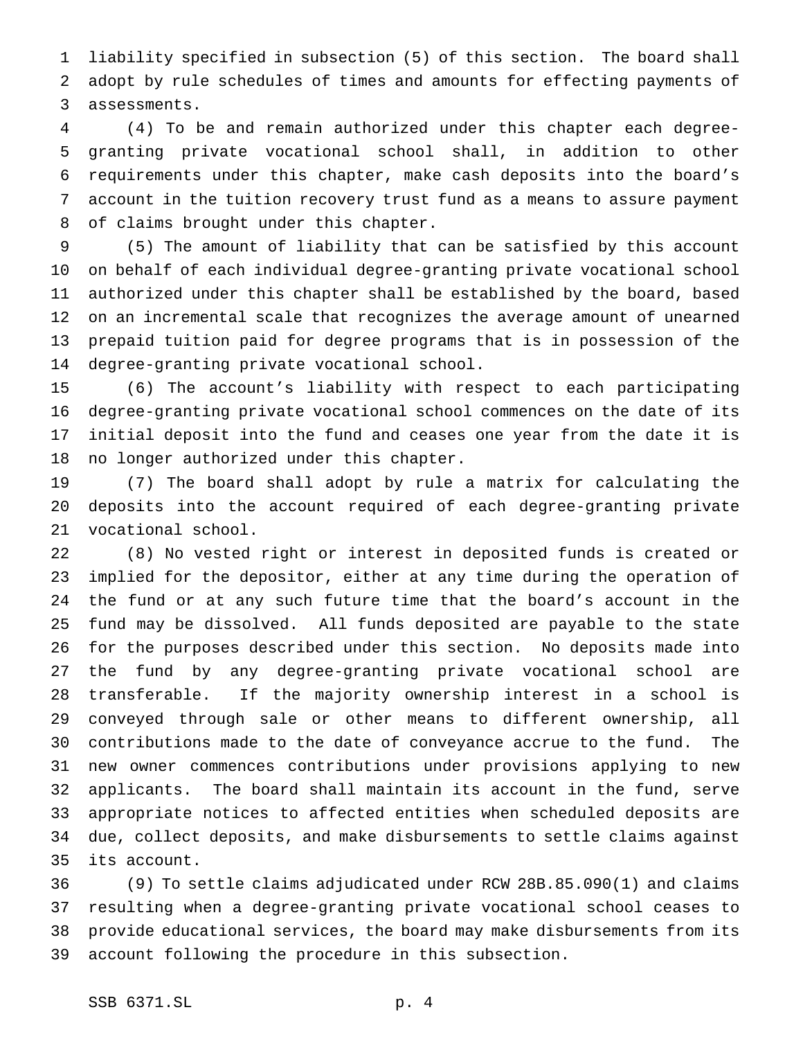liability specified in subsection (5) of this section. The board shall adopt by rule schedules of times and amounts for effecting payments of assessments.

 (4) To be and remain authorized under this chapter each degree- granting private vocational school shall, in addition to other requirements under this chapter, make cash deposits into the board's account in the tuition recovery trust fund as a means to assure payment of claims brought under this chapter.

 (5) The amount of liability that can be satisfied by this account on behalf of each individual degree-granting private vocational school authorized under this chapter shall be established by the board, based on an incremental scale that recognizes the average amount of unearned prepaid tuition paid for degree programs that is in possession of the degree-granting private vocational school.

 (6) The account's liability with respect to each participating degree-granting private vocational school commences on the date of its initial deposit into the fund and ceases one year from the date it is no longer authorized under this chapter.

 (7) The board shall adopt by rule a matrix for calculating the deposits into the account required of each degree-granting private vocational school.

 (8) No vested right or interest in deposited funds is created or implied for the depositor, either at any time during the operation of the fund or at any such future time that the board's account in the fund may be dissolved. All funds deposited are payable to the state for the purposes described under this section. No deposits made into the fund by any degree-granting private vocational school are transferable. If the majority ownership interest in a school is conveyed through sale or other means to different ownership, all contributions made to the date of conveyance accrue to the fund. The new owner commences contributions under provisions applying to new applicants. The board shall maintain its account in the fund, serve appropriate notices to affected entities when scheduled deposits are due, collect deposits, and make disbursements to settle claims against its account.

 (9) To settle claims adjudicated under RCW 28B.85.090(1) and claims resulting when a degree-granting private vocational school ceases to provide educational services, the board may make disbursements from its account following the procedure in this subsection.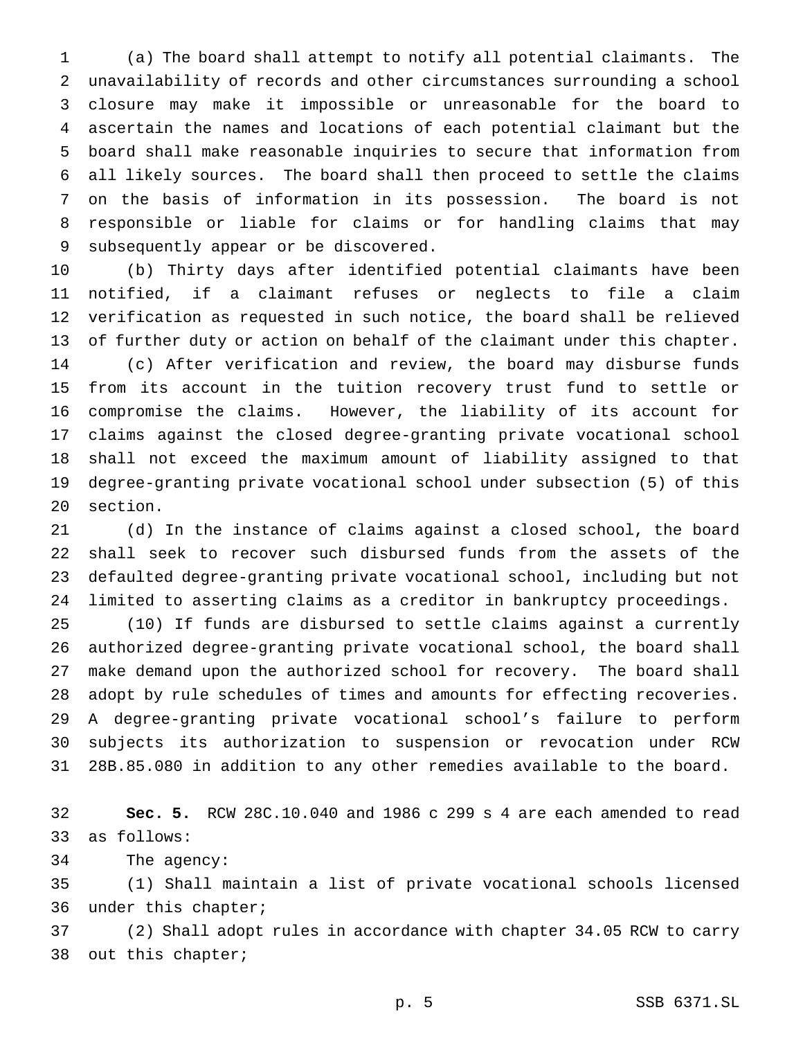(a) The board shall attempt to notify all potential claimants. The unavailability of records and other circumstances surrounding a school closure may make it impossible or unreasonable for the board to ascertain the names and locations of each potential claimant but the board shall make reasonable inquiries to secure that information from all likely sources. The board shall then proceed to settle the claims on the basis of information in its possession. The board is not responsible or liable for claims or for handling claims that may subsequently appear or be discovered.

 (b) Thirty days after identified potential claimants have been notified, if a claimant refuses or neglects to file a claim verification as requested in such notice, the board shall be relieved of further duty or action on behalf of the claimant under this chapter. (c) After verification and review, the board may disburse funds from its account in the tuition recovery trust fund to settle or compromise the claims. However, the liability of its account for claims against the closed degree-granting private vocational school shall not exceed the maximum amount of liability assigned to that degree-granting private vocational school under subsection (5) of this section.

 (d) In the instance of claims against a closed school, the board shall seek to recover such disbursed funds from the assets of the defaulted degree-granting private vocational school, including but not limited to asserting claims as a creditor in bankruptcy proceedings.

 (10) If funds are disbursed to settle claims against a currently authorized degree-granting private vocational school, the board shall make demand upon the authorized school for recovery. The board shall adopt by rule schedules of times and amounts for effecting recoveries. A degree-granting private vocational school's failure to perform subjects its authorization to suspension or revocation under RCW 28B.85.080 in addition to any other remedies available to the board.

 **Sec. 5.** RCW 28C.10.040 and 1986 c 299 s 4 are each amended to read as follows:

The agency:

 (1) Shall maintain a list of private vocational schools licensed under this chapter;

 (2) Shall adopt rules in accordance with chapter 34.05 RCW to carry out this chapter;